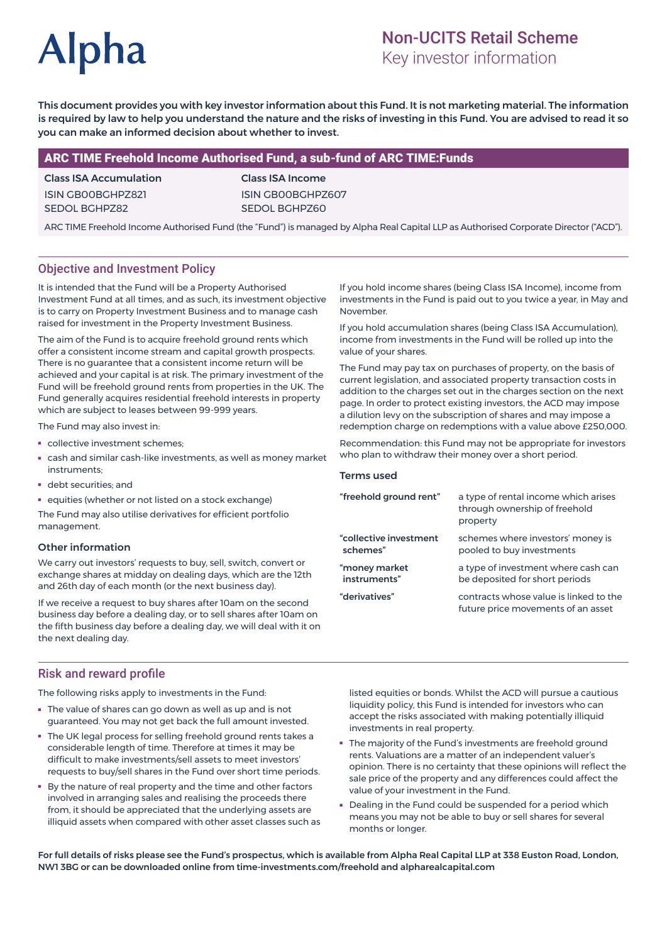# **Alpha**

# Non-UCITS Retail Scheme

Key investor information

This document provides you with key investor information about this Fund. It is not marketing material. The information is required by law to help you understand the nature and the risks of investing in this Fund. You are advised to read it so you can make an informed decision about whether to invest.

# ARC TIME Freehold Income Authorised Fund, a sub-fund of ARC TIME:Funds

Class ISA Accumulation ISIN GB00BGHPZ821 SEDOL BGHPZ82

Class ISA Income ISIN GB00BGHPZ607 SEDOL BGHPZ60

ARC TIME Freehold Income Authorised Fund (the "Fund") is managed by Alpha Real Capital LLP as Authorised Corporate Director ("ACD").

# Objective and Investment Policy

It is intended that the Fund will be a Property Authorised Investment Fund at all times, and as such, its investment objective is to carry on Property Investment Business and to manage cash raised for investment in the Property Investment Business.

The aim of the Fund is to acquire freehold ground rents which offer a consistent income stream and capital growth prospects. There is no guarantee that a consistent income return will be achieved and your capital is at risk. The primary investment of the Fund will be freehold ground rents from properties in the UK. The Fund generally acquires residential freehold interests in property which are subject to leases between 99-999 years.

The Fund may also invest in:

- collective investment schemes;
- cash and similar cash-like investments, as well as money market instruments;
- debt securities; and
- equities (whether or not listed on a stock exchange)

The Fund may also utilise derivatives for efficient portfolio management.

#### Other information

We carry out investors' requests to buy, sell, switch, convert or exchange shares at midday on dealing days, which are the 12th and 26th day of each month (or the next business day).

If we receive a request to buy shares after 10am on the second business day before a dealing day, or to sell shares after 10am on the fifth business day before a dealing day, we will deal with it on the next dealing day.

Risk and reward profile

The following risks apply to investments in the Fund:

- The value of shares can go down as well as up and is not guaranteed. You may not get back the full amount invested.
- The UK legal process for selling freehold ground rents takes a considerable length of time. Therefore at times it may be difficult to make investments/sell assets to meet investors' requests to buy/sell shares in the Fund over short time periods.
- By the nature of real property and the time and other factors involved in arranging sales and realising the proceeds there from, it should be appreciated that the underlying assets are illiquid assets when compared with other asset classes such as

If you hold income shares (being Class ISA Income), income from investments in the Fund is paid out to you twice a year, in May and November.

If you hold accumulation shares (being Class ISA Accumulation), income from investments in the Fund will be rolled up into the value of your shares.

The Fund may pay tax on purchases of property, on the basis of current legislation, and associated property transaction costs in addition to the charges set out in the charges section on the next page. In order to protect existing investors, the ACD may impose a dilution levy on the subscription of shares and may impose a redemption charge on redemptions with a value above £250,000.

Recommendation: this Fund may not be appropriate for investors who plan to withdraw their money over a short period.

#### Terms used

| a type of rental income which arises<br>through ownership of freehold<br>property |
|-----------------------------------------------------------------------------------|
| schemes where investors' money is<br>pooled to buy investments                    |
| a type of investment where cash can<br>be deposited for short periods             |
| contracts whose value is linked to the<br>future price movements of an asset      |
|                                                                                   |

listed equities or bonds. Whilst the ACD will pursue a cautious liquidity policy, this Fund is intended for investors who can accept the risks associated with making potentially illiquid investments in real property.

- The majority of the Fund's investments are freehold ground rents. Valuations are a matter of an independent valuer's opinion. There is no certainty that these opinions will reflect the sale price of the property and any differences could affect the value of your investment in the Fund.
- Dealing in the Fund could be suspended for a period which means you may not be able to buy or sell shares for several months or longer.

For full details of risks please see the Fund's prospectus, which is available from Alpha Real Capital LLP at 338 Euston Road, London, NW1 3BG or can be downloaded online from time-investments.com/freehold and alpharealcapital.com